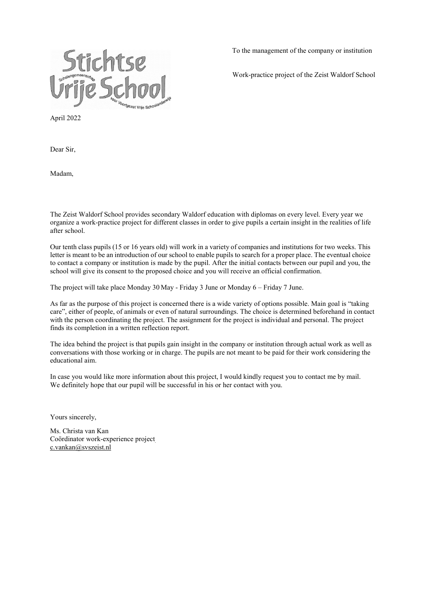

To the management of the company or institution

Work-practice project of the Zeist Waldorf School

April 2022

Dear Sir,

Madam,

The Zeist Waldorf School provides secondary Waldorf education with diplomas on every level. Every year we organize a work-practice project for different classes in order to give pupils a certain insight in the realities of life after school.

Our tenth class pupils (15 or 16 years old) will work in a variety of companies and institutions for two weeks. This letter is meant to be an introduction of our school to enable pupils to search for a proper place. The eventual choice to contact a company or institution is made by the pupil. After the initial contacts between our pupil and you, the school will give its consent to the proposed choice and you will receive an official confirmation.

The project will take place Monday 30 May - Friday 3 June or Monday 6 – Friday 7 June.

As far as the purpose of this project is concerned there is a wide variety of options possible. Main goal is "taking care", either of people, of animals or even of natural surroundings. The choice is determined beforehand in contact with the person coordinating the project. The assignment for the project is individual and personal. The project finds its completion in a written reflection report.

The idea behind the project is that pupils gain insight in the company or institution through actual work as well as conversations with those working or in charge. The pupils are not meant to be paid for their work considering the educational aim.

In case you would like more information about this project, I would kindly request you to contact me by mail. We definitely hope that our pupil will be successful in his or her contact with you.

Yours sincerely,

Ms. Christa van Kan Coördinator work-experience projec[t](mailto:%20c.vankan@svszeist.nl) [c.vankan@svszeist.nl](mailto:%20c.vankan@svszeist.nl)